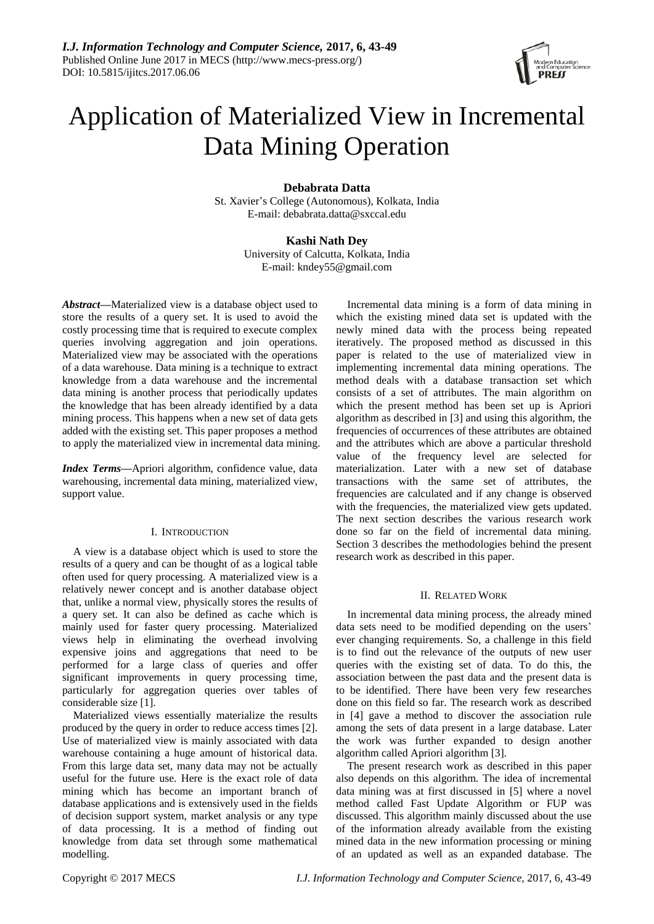

# Application of Materialized View in Incremental Data Mining Operation

# **Debabrata Datta**

St. Xavier"s College (Autonomous), Kolkata, India E-mail: debabrata.datta@sxccal.edu

# **Kashi Nath Dey**

University of Calcutta, Kolkata, India E-mail: kndey55@gmail.com

*Abstract***—**Materialized view is a database object used to store the results of a query set. It is used to avoid the costly processing time that is required to execute complex queries involving aggregation and join operations. Materialized view may be associated with the operations of a data warehouse. Data mining is a technique to extract knowledge from a data warehouse and the incremental data mining is another process that periodically updates the knowledge that has been already identified by a data mining process. This happens when a new set of data gets added with the existing set. This paper proposes a method to apply the materialized view in incremental data mining.

*Index Terms***—**Apriori algorithm, confidence value, data warehousing, incremental data mining, materialized view, support value.

# I. INTRODUCTION

A view is a database object which is used to store the results of a query and can be thought of as a logical table often used for query processing. A materialized view is a relatively newer concept and is another database object that, unlike a normal view, physically stores the results of a query set. It can also be defined as cache which is mainly used for faster query processing. Materialized views help in eliminating the overhead involving expensive joins and aggregations that need to be performed for a large class of queries and offer significant improvements in query processing time, particularly for aggregation queries over tables of considerable size [1].

Materialized views essentially materialize the results produced by the query in order to reduce access times [2]. Use of materialized view is mainly associated with data warehouse containing a huge amount of historical data. From this large data set, many data may not be actually useful for the future use. Here is the exact role of data mining which has become an important branch of database applications and is extensively used in the fields of decision support system, market analysis or any type of data processing. It is a method of finding out knowledge from data set through some mathematical modelling.

Incremental data mining is a form of data mining in which the existing mined data set is updated with the newly mined data with the process being repeated iteratively. The proposed method as discussed in this paper is related to the use of materialized view in implementing incremental data mining operations. The method deals with a database transaction set which consists of a set of attributes. The main algorithm on which the present method has been set up is Apriori algorithm as described in [3] and using this algorithm, the frequencies of occurrences of these attributes are obtained and the attributes which are above a particular threshold value of the frequency level are selected for materialization. Later with a new set of database transactions with the same set of attributes, the frequencies are calculated and if any change is observed with the frequencies, the materialized view gets updated. The next section describes the various research work done so far on the field of incremental data mining. Section 3 describes the methodologies behind the present research work as described in this paper.

# II. RELATED WORK

In incremental data mining process, the already mined data sets need to be modified depending on the users' ever changing requirements. So, a challenge in this field is to find out the relevance of the outputs of new user queries with the existing set of data. To do this, the association between the past data and the present data is to be identified. There have been very few researches done on this field so far. The research work as described in [4] gave a method to discover the association rule among the sets of data present in a large database. Later the work was further expanded to design another algorithm called Apriori algorithm [3].

The present research work as described in this paper also depends on this algorithm. The idea of incremental data mining was at first discussed in [5] where a novel method called Fast Update Algorithm or FUP was discussed. This algorithm mainly discussed about the use of the information already available from the existing mined data in the new information processing or mining of an updated as well as an expanded database. The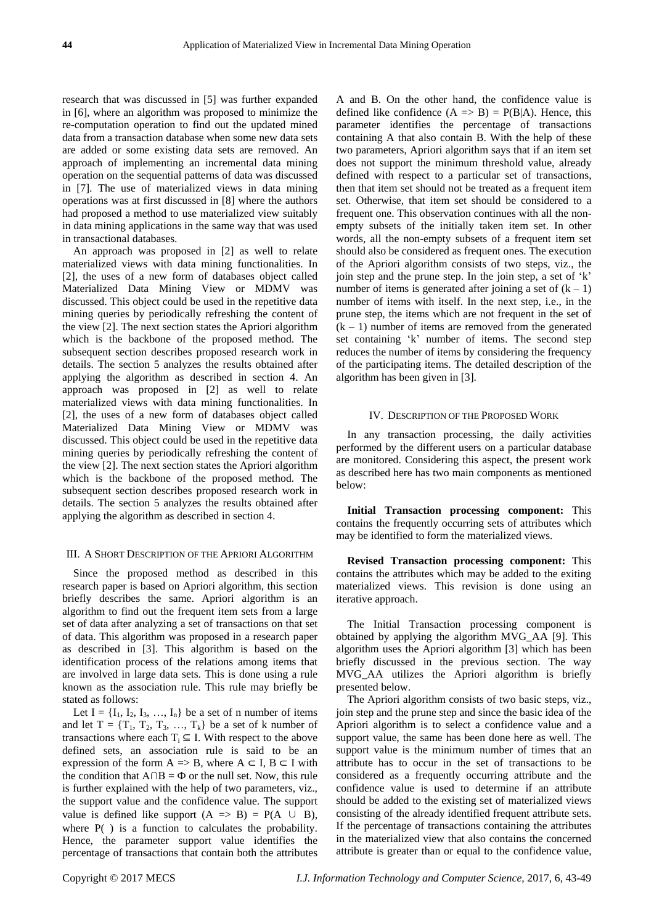research that was discussed in [5] was further expanded in [6], where an algorithm was proposed to minimize the re-computation operation to find out the updated mined data from a transaction database when some new data sets are added or some existing data sets are removed. An approach of implementing an incremental data mining operation on the sequential patterns of data was discussed in [7]. The use of materialized views in data mining operations was at first discussed in [8] where the authors had proposed a method to use materialized view suitably in data mining applications in the same way that was used in transactional databases.

An approach was proposed in [2] as well to relate materialized views with data mining functionalities. In [2], the uses of a new form of databases object called Materialized Data Mining View or MDMV was discussed. This object could be used in the repetitive data mining queries by periodically refreshing the content of the view [2]. The next section states the Apriori algorithm which is the backbone of the proposed method. The subsequent section describes proposed research work in details. The section 5 analyzes the results obtained after applying the algorithm as described in section 4. An approach was proposed in [2] as well to relate materialized views with data mining functionalities. In [2], the uses of a new form of databases object called Materialized Data Mining View or MDMV was discussed. This object could be used in the repetitive data mining queries by periodically refreshing the content of the view [2]. The next section states the Apriori algorithm which is the backbone of the proposed method. The subsequent section describes proposed research work in details. The section 5 analyzes the results obtained after applying the algorithm as described in section 4.

## III. A SHORT DESCRIPTION OF THE APRIORI ALGORITHM

Since the proposed method as described in this research paper is based on Apriori algorithm, this section briefly describes the same. Apriori algorithm is an algorithm to find out the frequent item sets from a large set of data after analyzing a set of transactions on that set of data. This algorithm was proposed in a research paper as described in [3]. This algorithm is based on the identification process of the relations among items that are involved in large data sets. This is done using a rule known as the association rule. This rule may briefly be stated as follows:

Let  $I = \{I_1, I_2, I_3, \ldots, I_n\}$  be a set of n number of items and let  $T = \{T_1, T_2, T_3, \ldots, T_k\}$  be a set of k number of transactions where each  $T_i \subseteq I$ . With respect to the above defined sets, an association rule is said to be an expression of the form  $A \Rightarrow B$ , where  $A \subseteq I$ ,  $B \subseteq I$  with the condition that  $A \cap B = \Phi$  or the null set. Now, this rule is further explained with the help of two parameters, viz., the support value and the confidence value. The support value is defined like support  $(A \Rightarrow B) = P(A \cup B)$ , where  $P( )$  is a function to calculates the probability. Hence, the parameter support value identifies the percentage of transactions that contain both the attributes

A and B. On the other hand, the confidence value is defined like confidence  $(A \Rightarrow B) = P(B|A)$ . Hence, this parameter identifies the percentage of transactions containing A that also contain B. With the help of these two parameters, Apriori algorithm says that if an item set does not support the minimum threshold value, already defined with respect to a particular set of transactions, then that item set should not be treated as a frequent item set. Otherwise, that item set should be considered to a frequent one. This observation continues with all the nonempty subsets of the initially taken item set. In other words, all the non-empty subsets of a frequent item set should also be considered as frequent ones. The execution of the Apriori algorithm consists of two steps, viz., the join step and the prune step. In the join step, a set of "k" number of items is generated after joining a set of  $(k - 1)$ number of items with itself. In the next step, i.e., in the prune step, the items which are not frequent in the set of  $(k - 1)$  number of items are removed from the generated set containing "k" number of items. The second step reduces the number of items by considering the frequency of the participating items. The detailed description of the algorithm has been given in [3].

## IV. DESCRIPTION OF THE PROPOSED WORK

In any transaction processing, the daily activities performed by the different users on a particular database are monitored. Considering this aspect, the present work as described here has two main components as mentioned below:

**Initial Transaction processing component:** This contains the frequently occurring sets of attributes which may be identified to form the materialized views.

**Revised Transaction processing component:** This contains the attributes which may be added to the exiting materialized views. This revision is done using an iterative approach.

The Initial Transaction processing component is obtained by applying the algorithm MVG\_AA [9]. This algorithm uses the Apriori algorithm [3] which has been briefly discussed in the previous section. The way MVG\_AA utilizes the Apriori algorithm is briefly presented below.

The Apriori algorithm consists of two basic steps, viz., join step and the prune step and since the basic idea of the Apriori algorithm is to select a confidence value and a support value, the same has been done here as well. The support value is the minimum number of times that an attribute has to occur in the set of transactions to be considered as a frequently occurring attribute and the confidence value is used to determine if an attribute should be added to the existing set of materialized views consisting of the already identified frequent attribute sets. If the percentage of transactions containing the attributes in the materialized view that also contains the concerned attribute is greater than or equal to the confidence value,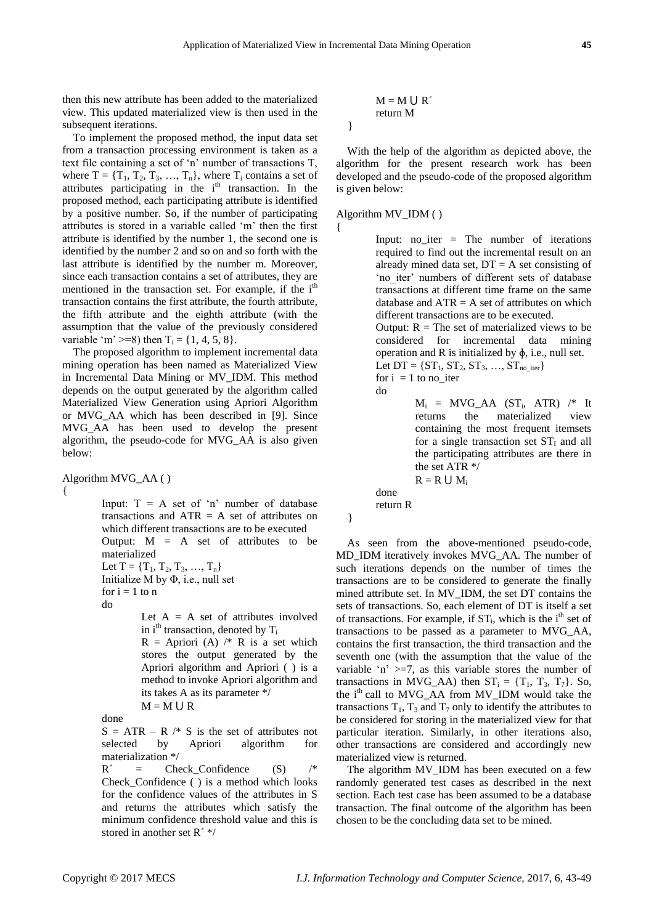}

{

then this new attribute has been added to the materialized view. This updated materialized view is then used in the subsequent iterations.

To implement the proposed method, the input data set from a transaction processing environment is taken as a text file containing a set of "n" number of transactions T, where  $T = \{T_1, T_2, T_3, \ldots, T_n\}$ , where  $T_i$  contains a set of attributes participating in the  $i<sup>th</sup>$  transaction. In the proposed method, each participating attribute is identified by a positive number. So, if the number of participating attributes is stored in a variable called "m" then the first attribute is identified by the number 1, the second one is identified by the number 2 and so on and so forth with the last attribute is identified by the number m. Moreover, since each transaction contains a set of attributes, they are mentioned in the transaction set. For example, if the  $i<sup>th</sup>$ transaction contains the first attribute, the fourth attribute, the fifth attribute and the eighth attribute (with the assumption that the value of the previously considered variable 'm' >=8) then  $T_i = \{1, 4, 5, 8\}.$ 

The proposed algorithm to implement incremental data mining operation has been named as Materialized View in Incremental Data Mining or MV\_IDM. This method depends on the output generated by the algorithm called Materialized View Generation using Apriori Algorithm or MVG\_AA which has been described in [9]. Since MVG\_AA has been used to develop the present algorithm, the pseudo-code for MVG\_AA is also given below:

Algorithm MVG\_AA ( )  $\left\{ \right.$ 

Input:  $T = A$  set of 'n' number of database transactions and  $ATR = A$  set of attributes on which different transactions are to be executed Output:  $M = A$  set of attributes to be materialized Let  $T = \{T_1, T_2, T_3, ..., T_n\}$ Initialize M by  $\Phi$ , i.e., null set for  $i = 1$  to n do

> Let  $A = A$  set of attributes involved in  $i^{\text{th}}$  transaction, denoted by  $T_i$  $R =$  Apriori (A) /\* R is a set which stores the output generated by the Apriori algorithm and Apriori ( ) is a method to invoke Apriori algorithm and its takes A as its parameter \*/  $M = M \cup R$

done

 $S = ATR - R$  /\* S is the set of attributes not selected by Apriori algorithm for materialization \*/

 $R' =$  Check Confidence (S) /\*

Check\_Confidence ( ) is a method which looks for the confidence values of the attributes in S and returns the attributes which satisfy the minimum confidence threshold value and this is stored in another set  $R^{\prime\prime\prime}$ 

$$
M = M \cup R
$$
  
return M

With the help of the algorithm as depicted above, the algorithm for the present research work has been developed and the pseudo-code of the proposed algorithm is given below:

## Algorithm MV\_IDM ( )

Input: no iter  $=$  The number of iterations required to find out the incremental result on an already mined data set,  $DT = A$  set consisting of 'no iter' numbers of different sets of database transactions at different time frame on the same database and  $ATR = A$  set of attributes on which different transactions are to be executed.

Output:  $R = The set of materialized views to be$ considered for incremental data mining operation and R is initialized by  $\phi$ , i.e., null set.

Let 
$$
DT = \{ST_1, ST_2, ST_3, ..., ST_{no\_iter}\}
$$
  
for  $i = 1$  to no\\_iter



 $M_i$  = MVG\_AA (ST<sub>i</sub>, ATR) /\* It returns the materialized view containing the most frequent itemsets for a single transaction set  $ST<sub>I</sub>$  and all the participating attributes are there in the set ATR \*/  $R = R \cup M_i$ 

done

return R

As seen from the above-mentioned pseudo-code, MD\_IDM iteratively invokes MVG\_AA. The number of such iterations depends on the number of times the transactions are to be considered to generate the finally mined attribute set. In MV\_IDM, the set DT contains the sets of transactions. So, each element of DT is itself a set of transactions. For example, if  $ST_i$ , which is the i<sup>th</sup> set of transactions to be passed as a parameter to MVG\_AA, contains the first transaction, the third transaction and the seventh one (with the assumption that the value of the variable 'n'  $>=7$ , as this variable stores the number of transactions in MVG\_AA) then  $ST_i = \{T_1, T_3, T_7\}$ . So, the i<sup>th</sup> call to MVG\_AA from MV\_IDM would take the transactions  $T_1$ ,  $T_3$  and  $T_7$  only to identify the attributes to be considered for storing in the materialized view for that particular iteration. Similarly, in other iterations also, other transactions are considered and accordingly new materialized view is returned.

The algorithm MV\_IDM has been executed on a few randomly generated test cases as described in the next section. Each test case has been assumed to be a database transaction. The final outcome of the algorithm has been chosen to be the concluding data set to be mined.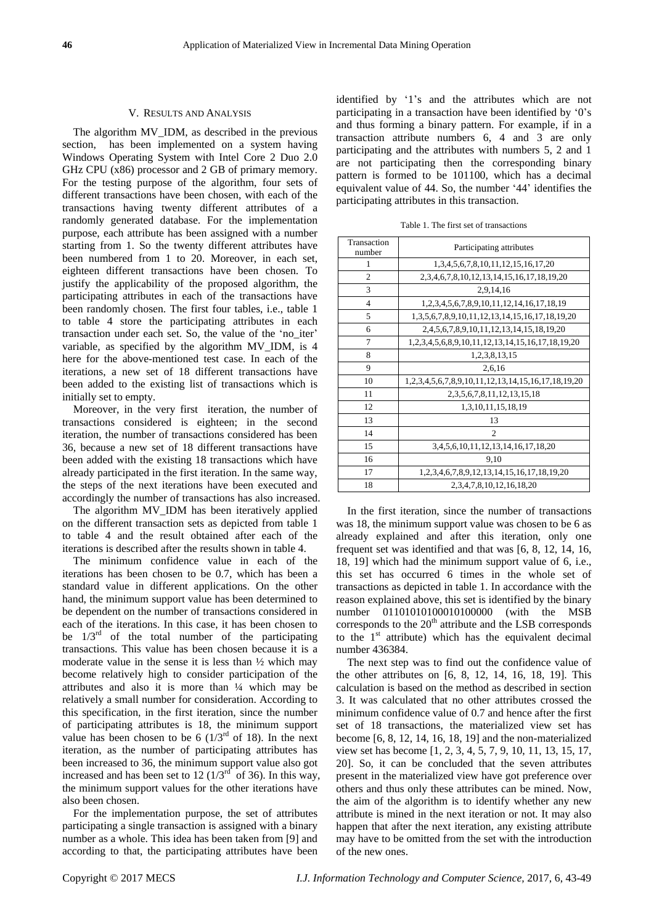### V. RESULTS AND ANALYSIS

The algorithm MV\_IDM, as described in the previous section, has been implemented on a system having Windows Operating System with Intel Core 2 Duo 2.0 GHz CPU (x86) processor and 2 GB of primary memory. For the testing purpose of the algorithm, four sets of different transactions have been chosen, with each of the transactions having twenty different attributes of a randomly generated database. For the implementation purpose, each attribute has been assigned with a number starting from 1. So the twenty different attributes have been numbered from 1 to 20. Moreover, in each set, eighteen different transactions have been chosen. To justify the applicability of the proposed algorithm, the participating attributes in each of the transactions have been randomly chosen. The first four tables, i.e., table 1 to table 4 store the participating attributes in each transaction under each set. So, the value of the "no\_iter" variable, as specified by the algorithm MV\_IDM, is 4 here for the above-mentioned test case. In each of the iterations, a new set of 18 different transactions have been added to the existing list of transactions which is initially set to empty.

Moreover, in the very first iteration, the number of transactions considered is eighteen; in the second iteration, the number of transactions considered has been 36, because a new set of 18 different transactions have been added with the existing 18 transactions which have already participated in the first iteration. In the same way, the steps of the next iterations have been executed and accordingly the number of transactions has also increased.

The algorithm MV\_IDM has been iteratively applied on the different transaction sets as depicted from table 1 to table 4 and the result obtained after each of the iterations is described after the results shown in table 4.

The minimum confidence value in each of the iterations has been chosen to be 0.7, which has been a standard value in different applications. On the other hand, the minimum support value has been determined to be dependent on the number of transactions considered in each of the iterations. In this case, it has been chosen to be  $1/3<sup>rd</sup>$  of the total number of the participating transactions. This value has been chosen because it is a moderate value in the sense it is less than ½ which may become relatively high to consider participation of the attributes and also it is more than ¼ which may be relatively a small number for consideration. According to this specification, in the first iteration, since the number of participating attributes is 18, the minimum support value has been chosen to be 6  $(1/3<sup>rd</sup>$  of 18). In the next iteration, as the number of participating attributes has been increased to 36, the minimum support value also got increased and has been set to 12 ( $1/3<sup>rd</sup>$  of 36). In this way, the minimum support values for the other iterations have also been chosen.

For the implementation purpose, the set of attributes participating a single transaction is assigned with a binary number as a whole. This idea has been taken from [9] and according to that, the participating attributes have been identified by '1's and the attributes which are not participating in a transaction have been identified by "0"s and thus forming a binary pattern. For example, if in a transaction attribute numbers 6, 4 and 3 are only participating and the attributes with numbers 5, 2 and 1 are not participating then the corresponding binary pattern is formed to be 101100, which has a decimal equivalent value of 44. So, the number "44" identifies the participating attributes in this transaction.

Table 1. The first set of transactions

| Transaction<br>number | Participating attributes                                           |  |
|-----------------------|--------------------------------------------------------------------|--|
| 1                     | 1,3,4,5,6,7,8,10,11,12,15,16,17,20                                 |  |
| $\overline{c}$        | 2, 3, 4, 6, 7, 8, 10, 12, 13, 14, 15, 16, 17, 18, 19, 20           |  |
| 3                     | 2.9.14.16                                                          |  |
| $\overline{4}$        | 1, 2, 3, 4, 5, 6, 7, 8, 9, 10, 11, 12, 14, 16, 17, 18, 19          |  |
| 5                     | 1, 3, 5, 6, 7, 8, 9, 10, 11, 12, 13, 14, 15, 16, 17, 18, 19, 20    |  |
| 6                     | 2, 4, 5, 6, 7, 8, 9, 10, 11, 12, 13, 14, 15, 18, 19, 20            |  |
| 7                     | 1, 2, 3, 4, 5, 6, 8, 9, 10, 11, 12, 13, 14, 15, 16, 17, 18, 19, 20 |  |
| 8                     | 1,2,3,8,13,15                                                      |  |
| 9                     | 2,6,16                                                             |  |
| 10                    | 1,2,3,4,5,6,7,8,9,10,11,12,13,14,15,16,17,18,19,20                 |  |
| 11                    | 2, 3, 5, 6, 7, 8, 11, 12, 13, 15, 18                               |  |
| 12                    | 1,3,10,11,15,18,19                                                 |  |
| 13                    | 13                                                                 |  |
| 14                    | $\mathfrak{D}$                                                     |  |
| 15                    | 3, 4, 5, 6, 10, 11, 12, 13, 14, 16, 17, 18, 20                     |  |
| 16                    | 9,10                                                               |  |
| 17                    | 1, 2, 3, 4, 6, 7, 8, 9, 12, 13, 14, 15, 16, 17, 18, 19, 20         |  |
| 18                    | 2, 3, 4, 7, 8, 10, 12, 16, 18, 20                                  |  |

In the first iteration, since the number of transactions was 18, the minimum support value was chosen to be 6 as already explained and after this iteration, only one frequent set was identified and that was [6, 8, 12, 14, 16, 18, 19] which had the minimum support value of 6, i.e., this set has occurred 6 times in the whole set of transactions as depicted in table 1. In accordance with the reason explained above, this set is identified by the binary number 01101010100010100000 (with the MSB corresponds to the  $20<sup>th</sup>$  attribute and the LSB corresponds to the 1<sup>st</sup> attribute) which has the equivalent decimal number 436384.

The next step was to find out the confidence value of the other attributes on [6, 8, 12, 14, 16, 18, 19]. This calculation is based on the method as described in section 3. It was calculated that no other attributes crossed the minimum confidence value of 0.7 and hence after the first set of 18 transactions, the materialized view set has become [6, 8, 12, 14, 16, 18, 19] and the non-materialized view set has become [1, 2, 3, 4, 5, 7, 9, 10, 11, 13, 15, 17, 20]. So, it can be concluded that the seven attributes present in the materialized view have got preference over others and thus only these attributes can be mined. Now, the aim of the algorithm is to identify whether any new attribute is mined in the next iteration or not. It may also happen that after the next iteration, any existing attribute may have to be omitted from the set with the introduction of the new ones.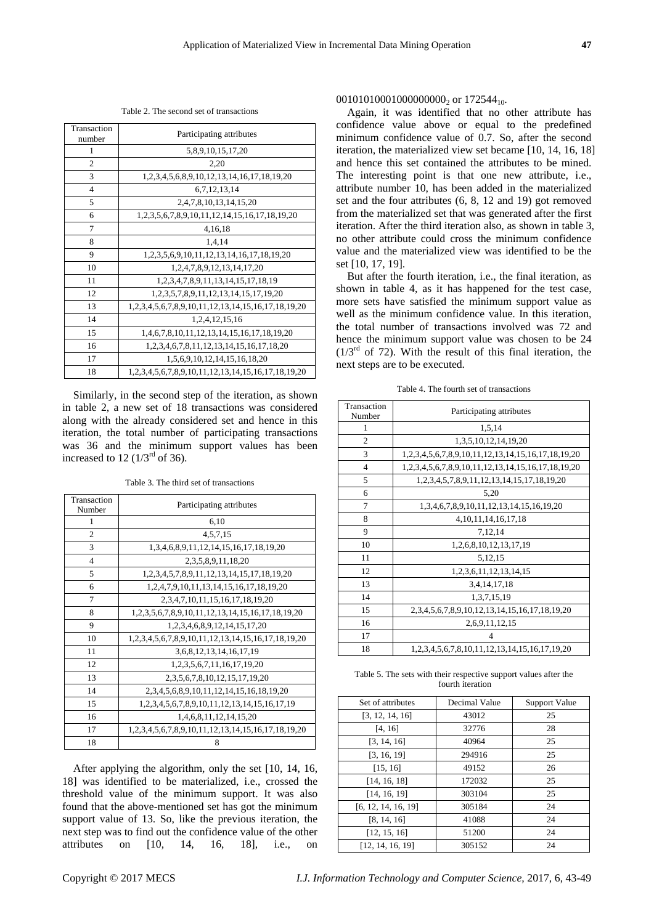Table 2. The second set of transactions

| Transaction<br>number | Participating attributes                                   |  |
|-----------------------|------------------------------------------------------------|--|
| 1                     | 5,8,9,10,15,17,20                                          |  |
| $\overline{c}$        | 2,20                                                       |  |
| 3                     | 1, 2, 3, 4, 5, 6, 8, 9, 10, 12, 13, 14, 16, 17, 18, 19, 20 |  |
| $\overline{4}$        | 6,7,12,13,14                                               |  |
| 5                     | 2,4,7,8,10,13,14,15,20                                     |  |
| 6                     | 1,2,3,5,6,7,8,9,10,11,12,14,15,16,17,18,19,20              |  |
| 7                     | 4,16,18                                                    |  |
| 8                     | 1,4,14                                                     |  |
| 9                     | 1, 2, 3, 5, 6, 9, 10, 11, 12, 13, 14, 16, 17, 18, 19, 20   |  |
| 10                    | 1,2,4,7,8,9,12,13,14,17,20                                 |  |
| 11                    | 1, 2, 3, 4, 7, 8, 9, 11, 13, 14, 15, 17, 18, 19            |  |
| 12                    | 1, 2, 3, 5, 7, 8, 9, 11, 12, 13, 14, 15, 17, 19, 20        |  |
| 13                    | 1,2,3,4,5,6,7,8,9,10,11,12,13,14,15,16,17,18,19,20         |  |
| 14                    | 1,2,4,12,15,16                                             |  |
| 15                    | 1,4,6,7,8,10,11,12,13,14,15,16,17,18,19,20                 |  |
| 16                    | 1, 2, 3, 4, 6, 7, 8, 11, 12, 13, 14, 15, 16, 17, 18, 20    |  |
| 17                    | 1,5,6,9,10,12,14,15,16,18,20                               |  |
| 18                    | 1,2,3,4,5,6,7,8,9,10,11,12,13,14,15,16,17,18,19,20         |  |

Similarly, in the second step of the iteration, as shown in table 2, a new set of 18 transactions was considered along with the already considered set and hence in this iteration, the total number of participating transactions was 36 and the minimum support values has been increased to 12  $(1/3<sup>rd</sup>$  of 36).

Table 3. The third set of transactions

| Transaction    | Participating attributes                                           |  |
|----------------|--------------------------------------------------------------------|--|
| Number<br>1    |                                                                    |  |
|                | 6,10                                                               |  |
| $\overline{c}$ | 4, 5, 7, 15                                                        |  |
| 3              | 1,3,4,6,8,9,11,12,14,15,16,17,18,19,20                             |  |
| $\overline{4}$ | 2, 3, 5, 8, 9, 11, 18, 20                                          |  |
| 5              | 1, 2, 3, 4, 5, 7, 8, 9, 11, 12, 13, 14, 15, 17, 18, 19, 20         |  |
| 6              | 1, 2, 4, 7, 9, 10, 11, 13, 14, 15, 16, 17, 18, 19, 20              |  |
| 7              | 2, 3, 4, 7, 10, 11, 15, 16, 17, 18, 19, 20                         |  |
| 8              | 1, 2, 3, 5, 6, 7, 8, 9, 10, 11, 12, 13, 14, 15, 16, 17, 18, 19, 20 |  |
| 9              | 1, 2, 3, 4, 6, 8, 9, 12, 14, 15, 17, 20                            |  |
| 10             | 1,2,3,4,5,6,7,8,9,10,11,12,13,14,15,16,17,18,19,20                 |  |
| 11             | 3,6,8,12,13,14,16,17,19                                            |  |
| 12             | 1, 2, 3, 5, 6, 7, 11, 16, 17, 19, 20                               |  |
| 13             | 2, 3, 5, 6, 7, 8, 10, 12, 15, 17, 19, 20                           |  |
| 14             | 2, 3, 4, 5, 6, 8, 9, 10, 11, 12, 14, 15, 16, 18, 19, 20            |  |
| 15             | 1, 2, 3, 4, 5, 6, 7, 8, 9, 10, 11, 12, 13, 14, 15, 16, 17, 19      |  |
| 16             | 1,4,6,8,11,12,14,15,20                                             |  |
| 17             | 1,2,3,4,5,6,7,8,9,10,11,12,13,14,15,16,17,18,19,20                 |  |
| 18             | 8                                                                  |  |

After applying the algorithm, only the set [10, 14, 16, 18] was identified to be materialized, i.e., crossed the threshold value of the minimum support. It was also found that the above-mentioned set has got the minimum support value of 13. So, like the previous iteration, the next step was to find out the confidence value of the other attributes on [10, 14, 16, 18], i.e., on

### 001010100010000000000<sub>2</sub> or 172544<sub>10</sub>.

Again, it was identified that no other attribute has confidence value above or equal to the predefined minimum confidence value of 0.7. So, after the second iteration, the materialized view set became [10, 14, 16, 18] and hence this set contained the attributes to be mined. The interesting point is that one new attribute, i.e., attribute number 10, has been added in the materialized set and the four attributes (6, 8, 12 and 19) got removed from the materialized set that was generated after the first iteration. After the third iteration also, as shown in table 3, no other attribute could cross the minimum confidence value and the materialized view was identified to be the set [10, 17, 19].

But after the fourth iteration, i.e., the final iteration, as shown in table 4, as it has happened for the test case, more sets have satisfied the minimum support value as well as the minimum confidence value. In this iteration, the total number of transactions involved was 72 and hence the minimum support value was chosen to be 24  $(1/3<sup>rd</sup>$  of 72). With the result of this final iteration, the next steps are to be executed.

Table 4. The fourth set of transactions

| Transaction<br>Number | Participating attributes                                       |
|-----------------------|----------------------------------------------------------------|
| 1                     | 1,5,14                                                         |
| $\overline{2}$        | 1, 3, 5, 10, 12, 14, 19, 20                                    |
| 3                     | 1,2,3,4,5,6,7,8,9,10,11,12,13,14,15,16,17,18,19,20             |
| 4                     | 1,2,3,4,5,6,7,8,9,10,11,12,13,14,15,16,17,18,19,20             |
| 5                     | 1, 2, 3, 4, 5, 7, 8, 9, 11, 12, 13, 14, 15, 17, 18, 19, 20     |
| 6                     | 5.20                                                           |
| 7                     | 1, 3, 4, 6, 7, 8, 9, 10, 11, 12, 13, 14, 15, 16, 19, 20        |
| 8                     | 4, 10, 11, 14, 16, 17, 18                                      |
| 9                     | 7,12,14                                                        |
| 10                    | 1,2,6,8,10,12,13,17,19                                         |
| 11                    | 5,12,15                                                        |
| 12                    | 1, 2, 3, 6, 11, 12, 13, 14, 15                                 |
| 13                    | 3,4,14,17,18                                                   |
| 14                    | 1, 3, 7, 15, 19                                                |
| 15                    | 2, 3, 4, 5, 6, 7, 8, 9, 10, 12, 13, 14, 15, 16, 17, 18, 19, 20 |
| 16                    | 2,6,9,11,12,15                                                 |
| 17                    | 4                                                              |
| 18                    | 1, 2, 3, 4, 5, 6, 7, 8, 10, 11, 12, 13, 14, 15, 16, 17, 19, 20 |

Table 5. The sets with their respective support values after the fourth iteration

| Set of attributes   | Decimal Value | Support Value |
|---------------------|---------------|---------------|
| [3, 12, 14, 16]     | 43012         | 25            |
| [4, 16]             | 32776         | 28            |
| [3, 14, 16]         | 40964         | 25            |
| [3, 16, 19]         | 294916        | 25            |
| [15, 16]            | 49152         | 26            |
| [14, 16, 18]        | 172032        | 25            |
| [14, 16, 19]        | 303104        | 25            |
| [6, 12, 14, 16, 19] | 305184        | 24            |
| [8, 14, 16]         | 41088         | 24            |
| [12, 15, 16]        | 51200         | 24            |
| [12, 14, 16, 19]    | 305152        | 24            |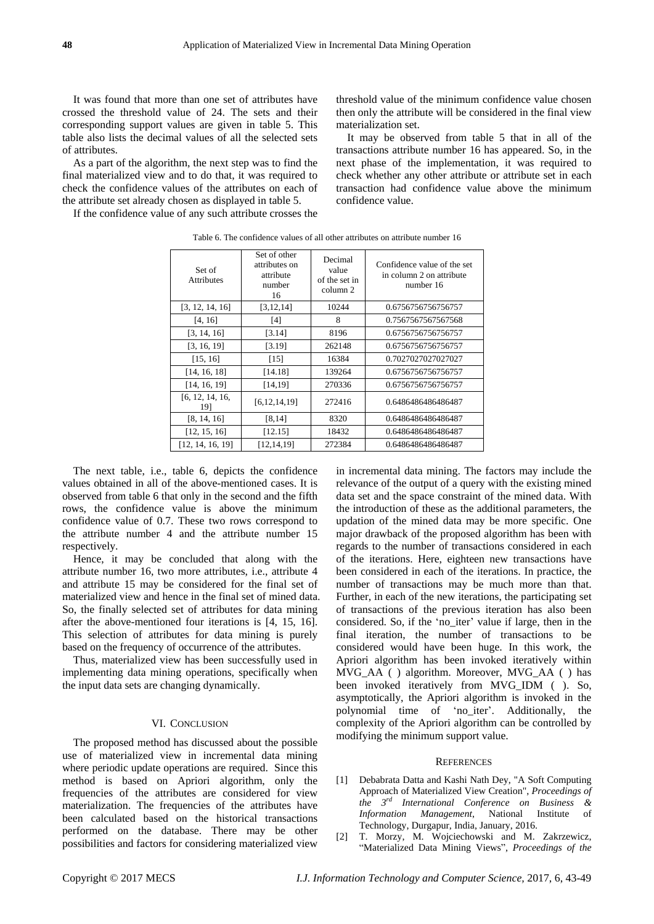It was found that more than one set of attributes have crossed the threshold value of 24. The sets and their corresponding support values are given in table 5. This table also lists the decimal values of all the selected sets of attributes.

As a part of the algorithm, the next step was to find the final materialized view and to do that, it was required to check the confidence values of the attributes on each of the attribute set already chosen as displayed in table 5.

If the confidence value of any such attribute crosses the

threshold value of the minimum confidence value chosen then only the attribute will be considered in the final view materialization set.

It may be observed from table 5 that in all of the transactions attribute number 16 has appeared. So, in the next phase of the implementation, it was required to check whether any other attribute or attribute set in each transaction had confidence value above the minimum confidence value.

| Set of<br><b>Attributes</b> | Set of other<br>attributes on<br>attribute<br>number<br>16 | Decimal<br>value<br>of the set in<br>column 2 | Confidence value of the set<br>in column 2 on attribute<br>number 16 |
|-----------------------------|------------------------------------------------------------|-----------------------------------------------|----------------------------------------------------------------------|
| [3, 12, 14, 16]             | [3, 12, 14]                                                | 10244                                         | 0.6756756756756757                                                   |
| [4, 16]                     | [4]                                                        | 8                                             | 0.7567567567567568                                                   |
| [3, 14, 16]                 | [3.14]                                                     | 8196                                          | 0.6756756756756757                                                   |
| [3, 16, 19]                 | [3.19]                                                     | 262148                                        | 0.6756756756756757                                                   |
| [15, 16]                    | [15]                                                       | 16384                                         | 0.7027027027027027                                                   |
| [14, 16, 18]                | [14.18]                                                    | 139264                                        | 0.6756756756756757                                                   |
| [14, 16, 19]                | [14, 19]                                                   | 270336                                        | 0.6756756756756757                                                   |
| [6, 12, 14, 16,<br>191      | [6, 12, 14, 19]                                            | 272416                                        | 0.6486486486486487                                                   |
| [8, 14, 16]                 | [8, 14]                                                    | 8320                                          | 0.6486486486486487                                                   |
| [12, 15, 16]                | [12.15]                                                    | 18432                                         | 0.6486486486486487                                                   |
| [12, 14, 16, 19]            | [12,14,19]                                                 | 272384                                        | 0.6486486486486487                                                   |

Table 6. The confidence values of all other attributes on attribute number 16

The next table, i.e., table 6, depicts the confidence values obtained in all of the above-mentioned cases. It is observed from table 6 that only in the second and the fifth rows, the confidence value is above the minimum confidence value of 0.7. These two rows correspond to the attribute number 4 and the attribute number 15 respectively.

Hence, it may be concluded that along with the attribute number 16, two more attributes, i.e., attribute 4 and attribute 15 may be considered for the final set of materialized view and hence in the final set of mined data. So, the finally selected set of attributes for data mining after the above-mentioned four iterations is [4, 15, 16]. This selection of attributes for data mining is purely based on the frequency of occurrence of the attributes.

Thus, materialized view has been successfully used in implementing data mining operations, specifically when the input data sets are changing dynamically.

#### VI. CONCLUSION

The proposed method has discussed about the possible use of materialized view in incremental data mining where periodic update operations are required. Since this method is based on Apriori algorithm, only the frequencies of the attributes are considered for view materialization. The frequencies of the attributes have been calculated based on the historical transactions performed on the database. There may be other possibilities and factors for considering materialized view

in incremental data mining. The factors may include the relevance of the output of a query with the existing mined data set and the space constraint of the mined data. With the introduction of these as the additional parameters, the updation of the mined data may be more specific. One major drawback of the proposed algorithm has been with regards to the number of transactions considered in each of the iterations. Here, eighteen new transactions have been considered in each of the iterations. In practice, the number of transactions may be much more than that. Further, in each of the new iterations, the participating set of transactions of the previous iteration has also been considered. So, if the 'no\_iter' value if large, then in the final iteration, the number of transactions to be considered would have been huge. In this work, the Apriori algorithm has been invoked iteratively within MVG\_AA ( ) algorithm. Moreover, MVG\_AA ( ) has been invoked iteratively from MVG\_IDM ( ). So, asymptotically, the Apriori algorithm is invoked in the polynomial time of "no\_iter". Additionally, the complexity of the Apriori algorithm can be controlled by modifying the minimum support value.

#### **REFERENCES**

- [1] Debabrata Datta and Kashi Nath Dey, "A Soft Computing Approach of Materialized View Creation", *Proceedings of the 3 rd International Conference on Business & Information Management*, National Institute of Technology, Durgapur, India, January, 2016.
- [2] T. Morzy, M. Wojciechowski and M. Zakrzewicz, "Materialized Data Mining Views", *Proceedings of the*